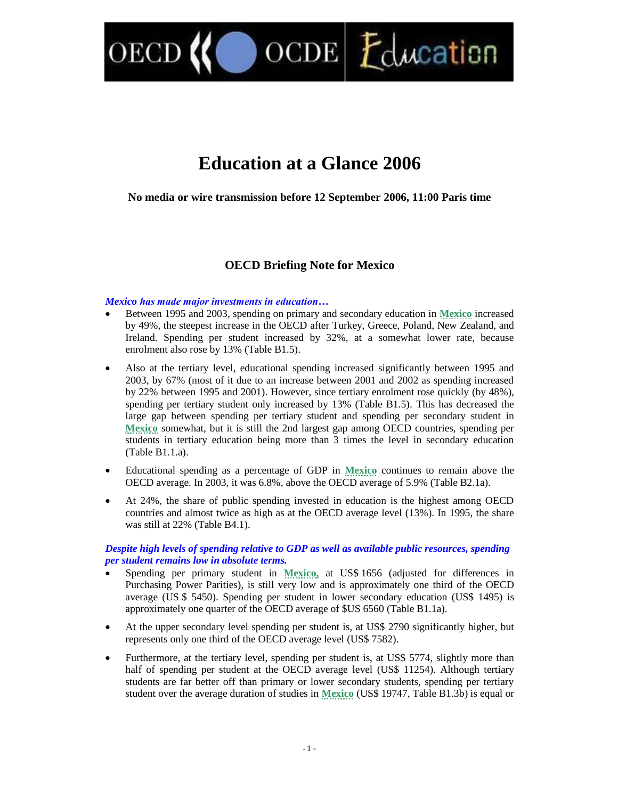OCDE Education

# **Education at a Glance 2006**

**No media or wire transmission before 12 September 2006, 11:00 Paris time**

## **OECD Briefing Note for Mexico**

#### *Mexico* has made major investments in education...

**OECD** 

- Between 1995 and 2003, spending on primary and secondary education in **Mexico** increased by 49%, the steepest increase in the OECD after Turkey, Greece, Poland, New Zealand, and Ireland. Spending per student increased by 32%, at a somewhat lower rate, because enrolment also rose by 13% (Table B1.5).
- Also at the tertiary level, educational spending increased significantly between 1995 and 2003, by 67% (most of it due to an increase between 2001 and 2002 as spending increased by 22% between 1995 and 2001). However, since tertiary enrolment rose quickly (by 48%), spending per tertiary student only increased by 13% (Table B1.5). This has decreased the large gap between spending per tertiary student and spending per secondary student in **Mexico** somewhat, but it is still the 2nd largest gap among OECD countries, spending per students in tertiary education being more than 3 times the level in secondary education (Table B1.1.a).
- Educational spending as a percentage of GDP in **Mexico** continues to remain above the OECD average. In 2003, it was 6.8%, above the OECD average of 5.9% (Table B2.1a).
- At 24%, the share of public spending invested in education is the highest among OECD countries and almost twice as high as at the OECD average level (13%). In 1995, the share was still at 22% (Table B4.1).

## *Despite high levels of spending relative to GDP as well as available public resources, spending per student remains low in absolute terms.*

- Spending per primary student in **Mexico,** at US\$ 1656 (adjusted for differences in Purchasing Power Parities), is still very low and is approximately one third of the OECD average (US \$ 5450). Spending per student in lower secondary education (US\$ 1495) is approximately one quarter of the OECD average of \$US 6560 (Table B1.1a).
- At the upper secondary level spending per student is, at US\$ 2790 significantly higher, but represents only one third of the OECD average level (US\$ 7582).
- Furthermore, at the tertiary level, spending per student is, at US\$ 5774, slightly more than half of spending per student at the OECD average level (US\$ 11254). Although tertiary students are far better off than primary or lower secondary students, spending per tertiary student over the average duration of studies in **Mexico** (US\$ 19747, Table B1.3b) is equal or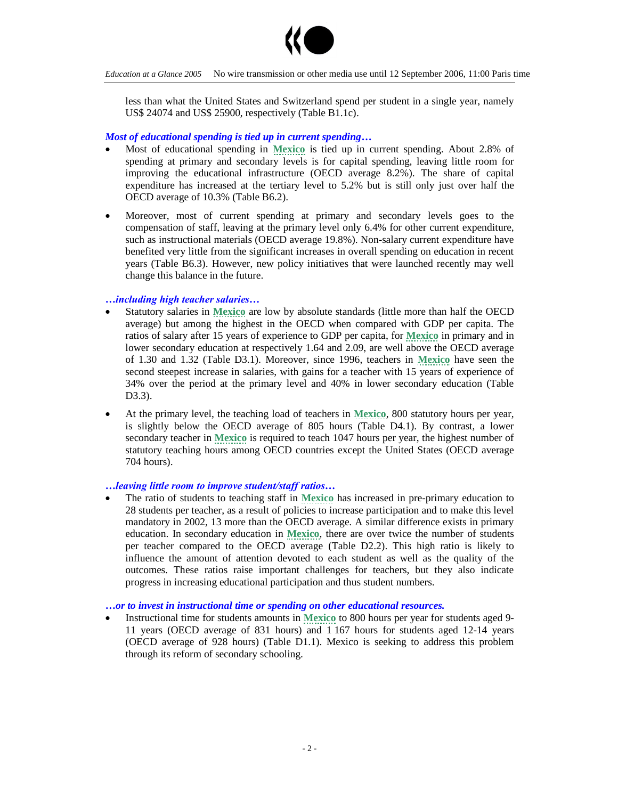

less than what the United States and Switzerland spend per student in a single year, namely US\$ 24074 and US\$ 25900, respectively (Table B1.1c).

## *Most of educational spending is tied up in current spending…*

- Most of educational spending in **Mexico** is tied up in current spending. About 2.8% of spending at primary and secondary levels is for capital spending, leaving little room for improving the educational infrastructure (OECD average 8.2%). The share of capital expenditure has increased at the tertiary level to 5.2% but is still only just over half the OECD average of 10.3% (Table B6.2).
- Moreover, most of current spending at primary and secondary levels goes to the compensation of staff, leaving at the primary level only 6.4% for other current expenditure, such as instructional materials (OECD average 19.8%). Non-salary current expenditure have benefited very little from the significant increases in overall spending on education in recent years (Table B6.3). However, new policy initiatives that were launched recently may well change this balance in the future.

## $...$ *including high teacher salaries...*

- Statutory salaries in **Mexico** are low by absolute standards (little more than half the OECD average) but among the highest in the OECD when compared with GDP per capita. The ratios of salary after 15 years of experience to GDP per capita, for **Mexico** in primary and in lower secondary education at respectively 1.64 and 2.09, are well above the OECD average of 1.30 and 1.32 (Table D3.1). Moreover, since 1996, teachers in **Mexico** have seen the second steepest increase in salaries, with gains for a teacher with 15 years of experience of 34% over the period at the primary level and 40% in lower secondary education (Table D3.3).
- At the primary level, the teaching load of teachers in **Mexico**, 800 statutory hours per year, is slightly below the OECD average of 805 hours (Table D4.1). By contrast, a lower secondary teacher in **Mexico** is required to teach 1047 hours per year, the highest number of statutory teaching hours among OECD countries except the United States (OECD average 704 hours).

## *…leavinglittleroomtoimprovestudent/staffratios…*

 The ratio of students to teaching staff in **Mexico** has increased in pre-primary education to 28 students per teacher, as a result of policies to increase participation and to make this level mandatory in 2002, 13 more than the OECD average. A similar difference exists in primary education. In secondary education in **Mexico**, there are over twice the number of students per teacher compared to the OECD average (Table D2.2). This high ratio is likely to influence the amount of attention devoted to each student as well as the quality of the outcomes. These ratios raise important challenges for teachers, but they also indicate progress in increasing educational participation and thus student numbers.

#### *…or to invest in instructional time or spending on other educational resources.*

 Instructional time for students amounts in **Mexico** to 800 hours per year for students aged 9- 11 years (OECD average of 831 hours) and 1 167 hours for students aged 12-14 years (OECD average of 928 hours) (Table D1.1). Mexico is seeking to address this problem through its reform of secondary schooling.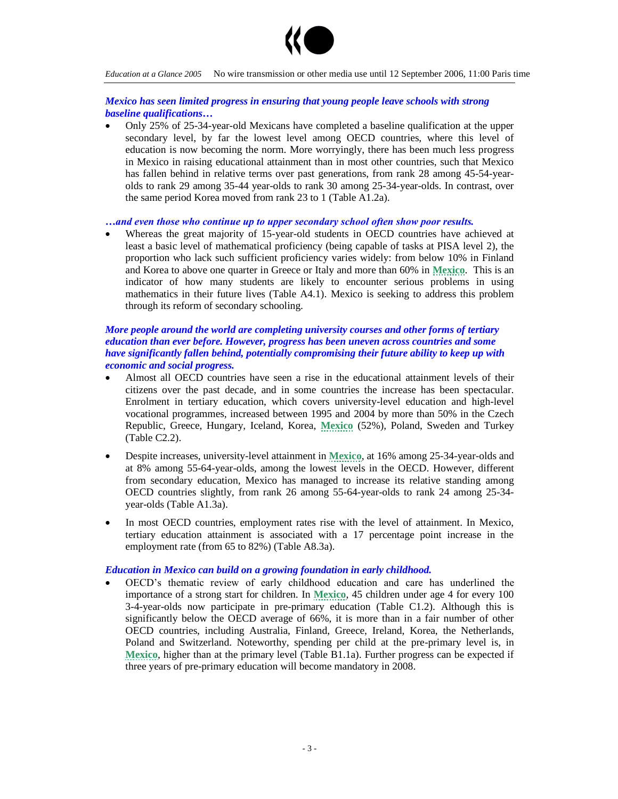

*Education at a Glance 2005* No wire transmission or other media use until 12 September 2006, 11:00 Paris time

## *Mexico has seen limited progress in ensuring that young people leave schools with strong baseline qualifications…*

 Only 25% of 25-34-year-old Mexicans have completed a baseline qualification at the upper secondary level, by far the lowest level among OECD countries, where this level of education is now becoming the norm. More worryingly, there has been much less progress in Mexico in raising educational attainment than in most other countries, such that Mexico has fallen behind in relative terms over past generations, from rank 28 among 45-54-yearolds to rank 29 among 35-44 year-olds to rank 30 among 25-34-year-olds. In contrast, over the same period Korea moved from rank 23 to 1 (Table A1.2a).

### ...and even those who continue up to upper secondary school often show poor results.

 Whereas the great majority of 15-year-old students in OECD countries have achieved at least a basic level of mathematical proficiency (being capable of tasks at PISA level 2), the proportion who lack such sufficient proficiency varies widely: from below 10% in Finland and Korea to above one quarter in Greece or Italy and more than 60% in **Mexico**. This is an indicator of how many students are likely to encounter serious problems in using mathematics in their future lives (Table A4.1). Mexico is seeking to address this problem through its reform of secondary schooling.

## *More people around the world are completing university courses and other forms of tertiary education than ever before. However, progress has been uneven across countries and some have significantly fallen behind, potentially compromising their future ability to keep up with economic and social progress.*

- Almost all OECD countries have seen a rise in the educational attainment levels of their citizens over the past decade, and in some countries the increase has been spectacular. Enrolment in tertiary education, which covers university-level education and high-level vocational programmes, increased between 1995 and 2004 by more than 50% in the Czech Republic, Greece, Hungary, Iceland, Korea, **Mexico** (52%), Poland, Sweden and Turkey (Table C2.2).
- Despite increases, university-level attainment in **Mexico**, at 16% among 25-34-year-olds and at 8% among 55-64-year-olds, among the lowest levels in the OECD. However, different from secondary education, Mexico has managed to increase its relative standing among OECD countries slightly, from rank 26 among 55-64-year-olds to rank 24 among 25-34 year-olds (Table A1.3a).
- In most OECD countries, employment rates rise with the level of attainment. In Mexico, tertiary education attainment is associated with a 17 percentage point increase in the employment rate (from 65 to 82%) (Table A8.3a).

## *Education in Mexico can build on a growing foundation in early childhood.*

OECD's thematic review of early childhood education and care has underlined the importance of a strong start for children. In **Mexico**, 45 children under age 4 for every 100 3-4-year-olds now participate in pre-primary education (Table C1.2). Although this is significantly below the OECD average of 66%, it is more than in a fair number of other OECD countries, including Australia, Finland, Greece, Ireland, Korea, the Netherlands, Poland and Switzerland. Noteworthy, spending per child at the pre-primary level is, in **Mexico**, higher than at the primary level (Table B1.1a). Further progress can be expected if three years of pre-primary education will become mandatory in 2008.